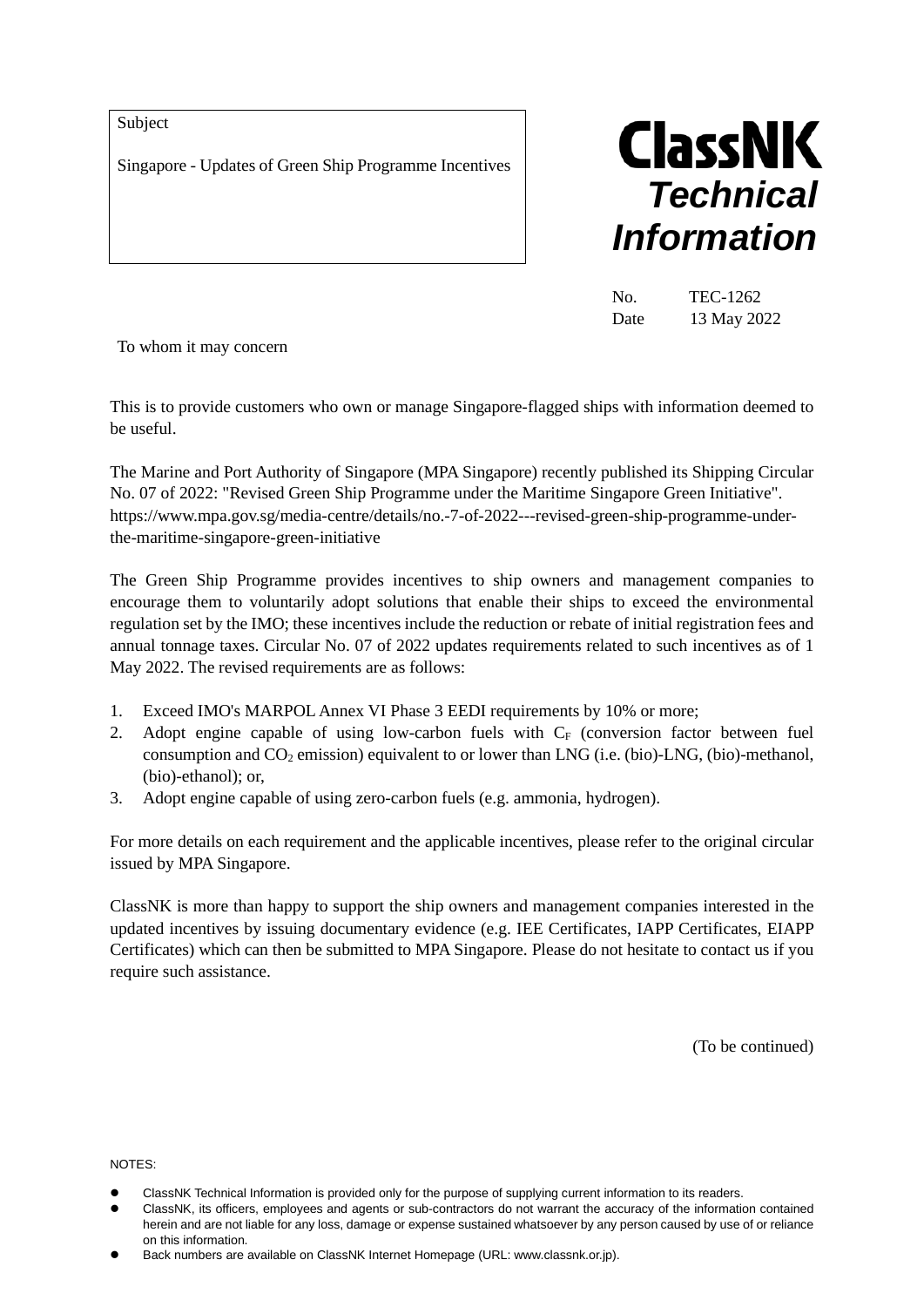Subject

Singapore - Updates of Green Ship Programme Incentives



| No.  | TEC-1262    |
|------|-------------|
| Date | 13 May 2022 |

To whom it may concern

This is to provide customers who own or manage Singapore-flagged ships with information deemed to be useful.

The Marine and Port Authority of Singapore (MPA Singapore) recently published its Shipping Circular No. 07 of 2022: "Revised Green Ship Programme under the Maritime Singapore Green Initiative". https://www.mpa.gov.sg/media-centre/details/no.-7-of-2022---revised-green-ship-programme-underthe-maritime-singapore-green-initiative

The Green Ship Programme provides incentives to ship owners and management companies to encourage them to voluntarily adopt solutions that enable their ships to exceed the environmental regulation set by the IMO; these incentives include the reduction or rebate of initial registration fees and annual tonnage taxes. Circular No. 07 of 2022 updates requirements related to such incentives as of 1 May 2022. The revised requirements are as follows:

- 1. Exceed IMO's MARPOL Annex VI Phase 3 EEDI requirements by 10% or more;
- 2. Adopt engine capable of using low-carbon fuels with  $C_F$  (conversion factor between fuel consumption and  $CO_2$  emission) equivalent to or lower than LNG (i.e. (bio)-LNG, (bio)-methanol, (bio)-ethanol); or,
- 3. Adopt engine capable of using zero-carbon fuels (e.g. ammonia, hydrogen).

For more details on each requirement and the applicable incentives, please refer to the original circular issued by MPA Singapore.

ClassNK is more than happy to support the ship owners and management companies interested in the updated incentives by issuing documentary evidence (e.g. IEE Certificates, IAPP Certificates, EIAPP Certificates) which can then be submitted to MPA Singapore. Please do not hesitate to contact us if you require such assistance.

(To be continued)

NOTES:

- ClassNK Technical Information is provided only for the purpose of supplying current information to its readers.
- ClassNK, its officers, employees and agents or sub-contractors do not warrant the accuracy of the information contained herein and are not liable for any loss, damage or expense sustained whatsoever by any person caused by use of or reliance on this information.
- Back numbers are available on ClassNK Internet Homepage (URL: www.classnk.or.jp).